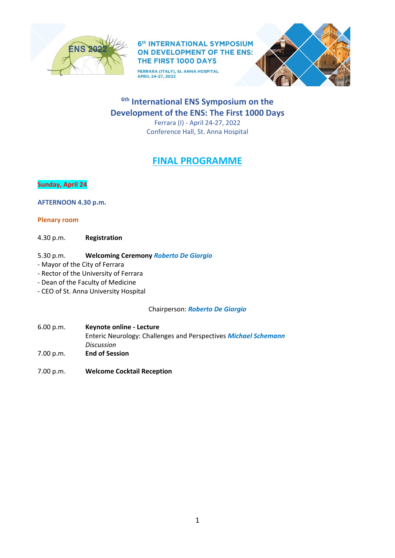

FERRARA (ITALY), St. ANNA HOSPITAL<br>APRIL 24-27, 2022



# **6th International ENS Symposium on the Development of the ENS: The First 1000 Days**

Ferrara (I) - April 24-27, 2022 Conference Hall, St. Anna Hospital

# **FINAL PROGRAMME**

# **Sunday, April 24**

**AFTERNOON 4.30 p.m.**

# **Plenary room**

4.30 p.m. **Registration**

- 5.30 p.m. **Welcoming Ceremony** *Roberto De Giorgio*
- Mayor of the City of Ferrara
- Rector of the University of Ferrara
- Dean of the Faculty of Medicine
- CEO of St. Anna University Hospital

Chairperson: *Roberto De Giorgio*

- 6.00 p.m. **Keynote online - Lecture** Enteric Neurology: Challenges and Perspectives *Michael Schemann Discussion* 7.00 p.m. **End of Session**
- 
- 7.00 p.m. **Welcome Cocktail Reception**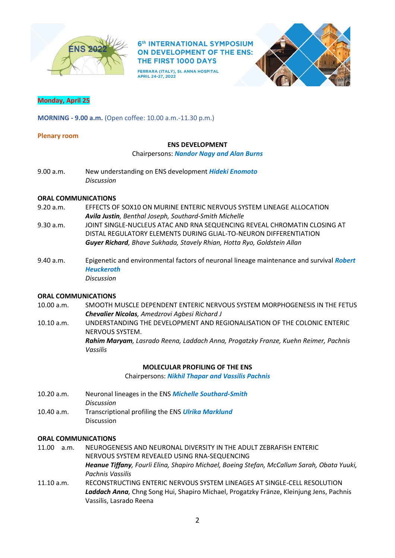

FERRARA (ITALY), St. ANNA HOSPITAL APRIL 24-27, 2022



## **Monday, April 25**

**MORNING - 9.00 a.m.** (Open coffee: 10.00 a.m.-11.30 p.m.)

#### **Plenary room**

### **ENS DEVELOPMENT**

#### Chairpersons: *Nandor Nagy and Alan Burns*

9.00 a.m. New understanding on ENS development *Hideki Enomoto Discussion*

# **ORAL COMMUNICATIONS**

- 9.20 a.m. EFFECTS OF SOX10 ON MURINE ENTERIC NERVOUS SYSTEM LINEAGE ALLOCATION *Avila Justin, Benthal Joseph, Southard-Smith Michelle*
- 9.30 a.m. JOINT SINGLE-NUCLEUS ATAC AND RNA SEQUENCING REVEAL CHROMATIN CLOSING AT DISTAL REGULATORY ELEMENTS DURING GLIAL-TO-NEURON DIFFERENTIATION *Guyer Richard, Bhave Sukhada, Stavely Rhian, Hotta Ryo, Goldstein Allan*
- 9.40 a.m. Epigenetic and environmental factors of neuronal lineage maintenance and survival *Robert Heuckeroth Discussion*

#### **ORAL COMMUNICATIONS**

- 10.00 a.m. SMOOTH MUSCLE DEPENDENT ENTERIC NERVOUS SYSTEM MORPHOGENESIS IN THE FETUS *Chevalier Nicolas, Amedzrovi Agbesi Richard J*
- 10.10 a.m. UNDERSTANDING THE DEVELOPMENT AND REGIONALISATION OF THE COLONIC ENTERIC NERVOUS SYSTEM. *Rahim Maryam, Lasrado Reena, Laddach Anna, Progatzky Franze, Kuehn Reimer, Pachnis Vassilis*

#### **MOLECULAR PROFILING OF THE ENS**

Chairpersons: *Nikhil Thapar and Vassilis Pachnis*

- 10.20 a.m. Neuronal lineages in the ENS *Michelle Southard-Smith Discussion*
- 10.40 a.m. Transcriptional profiling the ENS *Ulrika Marklund* Discussion

- 11.00 a.m. NEUROGENESIS AND NEURONAL DIVERSITY IN THE ADULT ZEBRAFISH ENTERIC NERVOUS SYSTEM REVEALED USING RNA-SEQUENCING *Heanue Tiffany, Fourli Elina, Shapiro Michael, Boeing Stefan, McCallum Sarah, Obata Yuuki, Pachnis Vassilis*
- 11.10 a.m. RECONSTRUCTING ENTERIC NERVOUS SYSTEM LINEAGES AT SINGLE-CELL RESOLUTION *Laddach Anna,* Chng Song Hui, Shapiro Michael, Progatzky Fränze, Kleinjung Jens, Pachnis Vassilis, Lasrado Reena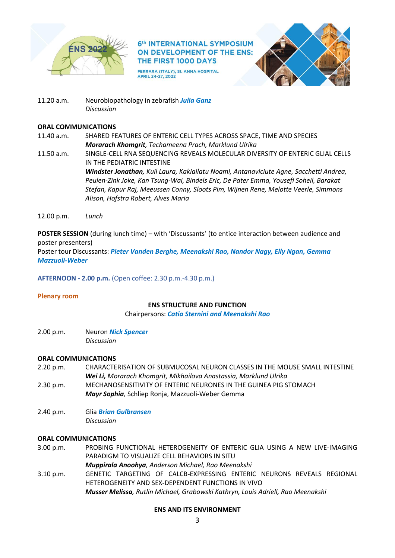

FERRARA (ITALY), St. ANNA HOSPITAL APRIL 24-27, 2022



11.20 a.m. Neurobiopathology in zebrafish *Julia Ganz Discussion*

# **ORAL COMMUNICATIONS**

- 11.40 a.m. SHARED FEATURES OF ENTERIC CELL TYPES ACROSS SPACE, TIME AND SPECIES *Morarach Khomgrit, Techameena Prach, Marklund Ulrika*
- 11.50 a.m. SINGLE-CELL RNA SEQUENCING REVEALS MOLECULAR DIVERSITY OF ENTERIC GLIAL CELLS IN THE PEDIATRIC INTESTINE *Windster Jonathan, Kuil Laura, Kakiailatu Noami, Antanaviciute Agne, Sacchetti Andrea, Peulen-Zink Joke, Kan Tsung-Wai, Bindels Eric, De Pater Emma, Yousefi Soheil, Barakat Stefan, Kapur Raj, Meeussen Conny, Sloots Pim, Wijnen Rene, Melotte Veerle, Simmons Alison, Hofstra Robert, Alves Maria*
- 12.00 p.m. *Lunch*

**POSTER SESSION** (during lunch time) – with 'Discussants' (to entice interaction between audience and poster presenters)

Poster tour Discussants: *Pieter Vanden Berghe, Meenakshi Rao, Nandor Nagy, Elly Ngan, Gemma Mazzuoli-Weber*

**AFTERNOON - 2.00 p.m.** (Open coffee: 2.30 p.m.-4.30 p.m.)

### **Plenary room**

### **ENS STRUCTURE AND FUNCTION**

Chairpersons: *Catia Sternini and Meenakshi Rao*

2.00 p.m. Neuron *Nick Spencer Discussion*

# **ORAL COMMUNICATIONS**

- 2.20 p.m. CHARACTERISATION OF SUBMUCOSAL NEURON CLASSES IN THE MOUSE SMALL INTESTINE *Wei Li, Morarach Khomgrit, Mikhailova Anastassia, Marklund Ulrika*
- 2.30 p.m. MECHANOSENSITIVITY OF ENTERIC NEURONES IN THE GUINEA PIG STOMACH *Mayr Sophia,* Schliep Ronja, Mazzuoli-Weber Gemma
- 2.40 p.m. Glia *Brian Gulbransen Discussion*

# **ORAL COMMUNICATIONS**

3.00 p.m. PROBING FUNCTIONAL HETEROGENEITY OF ENTERIC GLIA USING A NEW LIVE-IMAGING PARADIGM TO VISUALIZE CELL BEHAVIORS IN SITU

*Muppirala Anoohya, Anderson Michael, Rao Meenakshi*

3.10 p.m. GENETIC TARGETING OF CALCB-EXPRESSING ENTERIC NEURONS REVEALS REGIONAL HETEROGENEITY AND SEX-DEPENDENT FUNCTIONS IN VIVO *Musser Melissa, Rutlin Michael, Grabowski Kathryn, Louis Adriell, Rao Meenakshi*

# **ENS AND ITS ENVIRONMENT**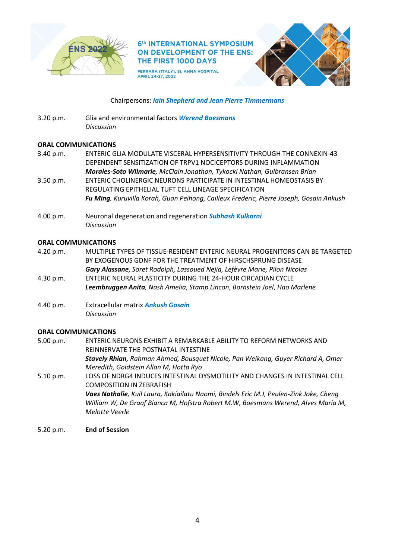

FERRARA (ITALY), St. ANNA HOSPITAL APRIL 24-27, 2022



# Chairpersons: *Iain Shepherd and Jean Pierre Timmermans*

3.20 p.m. Glia and environmental factors *Werend Boesmans Discussion*

# **ORAL COMMUNICATIONS**

- 3.40 p.m. ENTERIC GLIA MODULATE VISCERAL HYPERSENSITIVITY THROUGH THE CONNEXIN-43 DEPENDENT SENSITIZATION OF TRPV1 NOCICEPTORS DURING INFLAMMATION *Morales-Soto Wilmarie, McClain Jonathon, Tykocki Nathan, Gulbransen Brian* 3.50 p.m. ENTERIC CHOLINERGIC NEURONS PARTICIPATE IN INTESTINAL HOMEOSTASIS BY REGULATING EPITHELIAL TUFT CELL LINEAGE SPECIFICATION *Fu Ming, Kuruvilla Korah, Guan Peihong, Cailleux Frederic, Pierre Joseph, Gosain Ankush*
- 4.00 p.m. Neuronal degeneration and regeneration *Subhash Kulkarni Discussion*

## **ORAL COMMUNICATIONS**

- 4.20 p.m. MULTIPLE TYPES OF TISSUE-RESIDENT ENTERIC NEURAL PROGENITORS CAN BE TARGETED BY EXOGENOUS GDNF FOR THE TREATMENT OF HIRSCHSPRUNG DISEASE *Gary Alassane, Soret Rodolph, Lassoued Nejia, Lefèvre Marie, Pilon Nicolas* 4.30 p.m. ENTERIC NEURAL PLASTICITY DURING THE 24-HOUR CIRCADIAN CYCLE
- *Leembruggen Anita, Nash Amelia*, *Stamp Lincon*, *Bornstein Joel*, *Hao Marlene*
- 4.40 p.m. Extracellular matrix *Ankush Gosain Discussion*

### **ORAL COMMUNICATIONS**

5.00 p.m. ENTERIC NEURONS EXHIBIT A REMARKABLE ABILITY TO REFORM NETWORKS AND REINNERVATE THE POSTNATAL INTESTINE *Stavely Rhian, Rahman Ahmed, Bousquet Nicole, Pan Weikang, Guyer Richard A, Omer Meredith, Goldstein Allan M, Hotta Ryo* 5.10 p.m. LOSS OF NDRG4 INDUCES INTESTINAL DYSMOTILITY AND CHANGES IN INTESTINAL CELL COMPOSITION IN ZEBRAFISH

*Vaes Nathalie, Kuil Laura, Kakiailatu Naomi, Bindels Eric M.J, Peulen-Zink Joke, Cheng William W, De Graaf Bianca M, Hofstra Robert M.W, Boesmans Werend, Alves Maria M, Melotte Veerle*

5.20 p.m. **End of Session**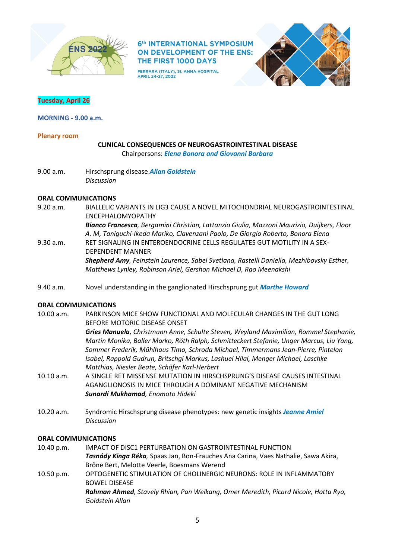

FERRARA (ITALY), St. ANNA HOSPITAL APRIL 24-27, 2022



# **Tuesday, April 26**

**MORNING - 9.00 a.m.**

#### **Plenary room**

## **CLINICAL CONSEQUENCES OF NEUROGASTROINTESTINAL DISEASE** Chairpersons: *Elena Bonora and Giovanni Barbara*

9.00 a.m. Hirschsprung disease *Allan Goldstein Discussion*

#### **ORAL COMMUNICATIONS**

- 9.20 a.m. BIALLELIC VARIANTS IN LIG3 CAUSE A NOVEL MITOCHONDRIAL NEUROGASTROINTESTINAL ENCEPHALOMYOPATHY *Bianco Francesca, Bergamini Christian, Lattanzio Giulia, Mazzoni Maurizio, Duijkers, Floor A. M, Taniguchi-Ikeda Mariko, Clavenzani Paolo, De Giorgio Roberto, Bonora Elena* 9.30 a.m. RET SIGNALING IN ENTEROENDOCRINE CELLS REGULATES GUT MOTILITY IN A SEX-DEPENDENT MANNER *Shepherd Amy, Feinstein Laurence, Sabel Svetlana, Rastelli Daniella, Mezhibovsky Esther, Matthews Lynley, Robinson Ariel, Gershon Michael D, Rao Meenakshi*
- 9.40 a.m. Novel understanding in the ganglionated Hirschsprung gut *Marthe Howard*

### **ORAL COMMUNICATIONS**

- 10.00 a.m. PARKINSON MICE SHOW FUNCTIONAL AND MOLECULAR CHANGES IN THE GUT LONG BEFORE MOTORIC DISEASE ONSET *Gries Manuela, Christmann Anne, Schulte Steven, Weyland Maximilian, Rommel Stephanie, Martin Monika, Baller Marko, Röth Ralph, Schmitteckert Stefanie, Unger Marcus, Liu Yang, Sommer Frederik, Mühlhaus Timo, Schroda Michael, Timmermans Jean-Pierre, Pintelon Isabel, Rappold Gudrun, Britschgi Markus, Lashuel Hilal, Menger Michael, Laschke Matthias, Niesler Beate, Schäfer Karl-Herbert* 10.10 a.m. A SINGLE RET MISSENSE MUTATION IN HIRSCHSPRUNG'S DISEASE CAUSES INTESTINAL
- AGANGLIONOSIS IN MICE THROUGH A DOMINANT NEGATIVE MECHANISM *Sunardi Mukhamad, Enomoto Hideki*
- 10.20 a.m. Syndromic Hirschsprung disease phenotypes: new genetic insights *Jeanne Amiel Discussion*

- 10.40 p.m. IMPACT OF DISC1 PERTURBATION ON GASTROINTESTINAL FUNCTION *Tasnády Kinga Réka,* Spaas Jan, Bon-Frauches Ana Carina, Vaes Nathalie, Sawa Akira, Brône Bert, Melotte Veerle, Boesmans Werend
- 10.50 p.m. OPTOGENETIC STIMULATION OF CHOLINERGIC NEURONS: ROLE IN INFLAMMATORY BOWEL DISEASE *Rahman Ahmed, Stavely Rhian, Pan Weikang, Omer Meredith, Picard Nicole, Hotta Ryo, Goldstein Allan*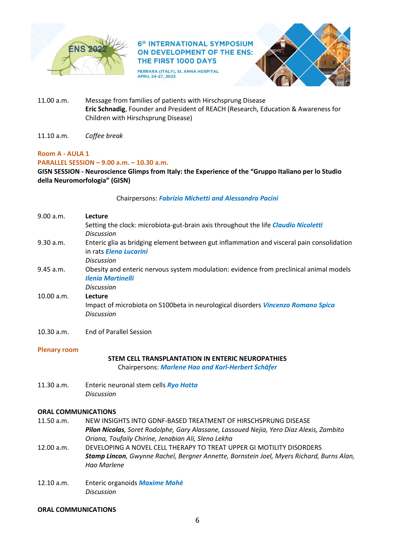

FERRARA (ITALY), St. ANNA HOSPITAL APRIL 24-27, 2022



- 11.00 a.m. Message from families of patients with Hirschsprung Disease **Eric Schnadig**, Founder and President of REACH (Research, Education & Awareness for Children with Hirschsprung Disease)
- 11.10 a.m. *Coffee break*

# **Room A - AULA 1**

# **PARALLEL SESSION – 9.00 a.m. – 10.30 a.m.**

**GISN SESSION - Neuroscience Glimps from Italy: the Experience of the "Gruppo Italiano per lo Studio della Neuromorfologia" (GISN)**

# Chairpersons: *Fabrizio Michetti and Alessandra Pacini*

| 9.00 a.m.  | Lecture                                                                                   |
|------------|-------------------------------------------------------------------------------------------|
|            | Setting the clock: microbiota-gut-brain axis throughout the life <i>Claudio Nicoletti</i> |
|            | <b>Discussion</b>                                                                         |
| 9.30 a.m.  | Enteric glia as bridging element between gut inflammation and visceral pain consolidation |
|            | in rats <i>Eleng Lucarini</i>                                                             |
|            | <b>Discussion</b>                                                                         |
| 9.45 a.m.  | Obesity and enteric nervous system modulation: evidence from preclinical animal models    |
|            | <b>Ilenia Martinelli</b>                                                                  |
|            | <b>Discussion</b>                                                                         |
| 10.00 a.m. | Lecture                                                                                   |
|            | Impact of microbiota on S100beta in neurological disorders Vincenzo Romano Spica          |
|            | <b>Discussion</b>                                                                         |
|            |                                                                                           |

10.30 a.m. End of Parallel Session

# **Plenary room**

# **STEM CELL TRANSPLANTATION IN ENTERIC NEUROPATHIES**

Chairpersons: *Marlene Hao and Karl-Herbert Schäfer*

11.30 a.m. Enteric neuronal stem cells *Ryo Hotta Discussion*

# **ORAL COMMUNICATIONS**

- 11.50 a.m. NEW INSIGHTS INTO GDNF-BASED TREATMENT OF HIRSCHSPRUNG DISEASE *Pilon Nicolas, Soret Rodolphe, Gary Alassane, Lassoued Nejia, Yero Diaz Alexis, Zambito Oriana, Toufaily Chirine, Jenabian Ali, Sleno Lekha*
- 12.00 a.m. DEVELOPING A NOVEL CELL THERAPY TO TREAT UPPER GI MOTILITY DISORDERS *Stamp Lincon, Gwynne Rachel, Bergner Annette, Bornstein Joel, Myers Richard, Burns Alan, Hao Marlene*
- 12.10 a.m. Enteric organoids *Maxime Mahè Discussion*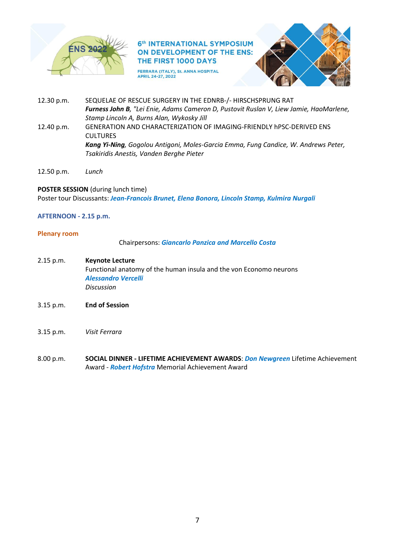

FERRARA (ITALY), St. ANNA HOSPITAL<br>APRIL 24-27, 2022



- 12.30 p.m. SEQUELAE OF RESCUE SURGERY IN THE EDNRB-/- HIRSCHSPRUNG RAT *Furness John B, "Lei Enie, Adams Cameron D, Pustovit Ruslan V, Liew Jamie, HaoMarlene, Stamp Lincoln A, Burns Alan, Wykosky Jill* 12.40 p.m. GENERATION AND CHARACTERIZATION OF IMAGING-FRIENDLY hPSC-DERIVED ENS **CULTURES** *Kang Yi-Ning, Gogolou Antigoni, Moles-Garcia Emma, Fung Candice, W. Andrews Peter, Tsakiridis Anestis, Vanden Berghe Pieter*
- 12.50 p.m. *Lunch*

### **POSTER SESSION** (during lunch time)

Poster tour Discussants: *Jean-Francois Brunet, Elena Bonora, Lincoln Stamp, Kulmira Nurgali*

### **AFTERNOON - 2.15 p.m.**

#### **Plenary room**

Chairpersons: *Giancarlo Panzica and Marcello Costa*

- 2.15 p.m. **Keynote Lecture** Functional anatomy of the human insula and the von Economo neurons *Alessandro Vercelli Discussion*
- 3.15 p.m. **End of Session**
- 3.15 p.m. *Visit Ferrara*
- 8.00 p.m. **SOCIAL DINNER - LIFETIME ACHIEVEMENT AWARDS**: *Don Newgreen* Lifetime Achievement Award - *Robert Hofstra* Memorial Achievement Award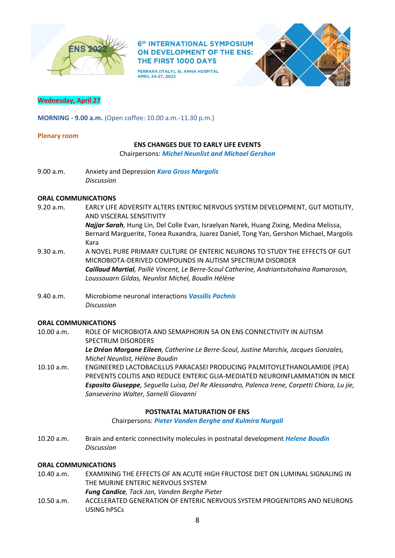

FERRARA (ITALY), St. ANNA HOSPITAL APRIL 24-27, 2022



# **Wednesday, April 27**

**MORNING - 9.00 a.m.** (Open coffee: 10.00 a.m.-11.30 p.m.)

## **Plenary room**

## **ENS CHANGES DUE TO EARLY LIFE EVENTS**

Chairpersons: *Michel Neunlist and Michael Gershon* 

9.00 a.m. Anxiety and Depression *Kara Gross Margolis Discussion*

## **ORAL COMMUNICATIONS**

- 9.20 a.m. EARLY LIFE ADVERSITY ALTERS ENTERIC NERVOUS SYSTEM DEVELOPMENT, GUT MOTILITY, AND VISCERAL SENSITIVITY *Najjar Sarah,* Hung Lin, Del Colle Evan, Israelyan Narek, Huang Zixing, Medina Melissa, Bernard Marguerite, Tonea Ruxandra, Juarez Daniel, Tong Yan, Gershon Michael, Margolis Kara
- 9.30 a.m. A NOVEL PURE PRIMARY CULTURE OF ENTERIC NEURONS TO STUDY THE EFFECTS OF GUT MICROBIOTA-DERIVED COMPOUNDS IN AUTISM SPECTRUM DISORDER *Caillaud Martial, Paillé Vincent, Le Berre-Scoul Catherine, Andriantsitohaina Ramaroson, Loussouarn Gildas, Neunlist Michel, Boudin Hélène*
- 9.40 a.m. Microbiome neuronal interactions *Vassilis Pachnis Discussion*

### **ORAL COMMUNICATIONS**

- 10.00 a.m. ROLE OF MICROBIOTA AND SEMAPHORIN 5A ON ENS CONNECTIVITY IN AUTISM SPECTRUM DISORDERS
	- *Le Dréan Morgane Eileen, Catherine Le Berre-Scoul, Justine Marchix, Jacques Gonzales, Michel Neunlist, Hélène Boudin*
- 10.10 a.m. ENGINEERED LACTOBACILLUS PARACASEI PRODUCING PALMITOYLETHANOLAMIDE (PEA) PREVENTS COLITIS AND REDUCE ENTERIC GLIA-MEDIATED NEUROINFLAMMATION IN MICE *Esposito Giuseppe, Seguella Luisa, Del Re Alessandro, Palenca Irene, Corpetti Chiara, Lu jie, Sanseverino Walter, Sarnelli Giovanni*

## **POSTNATAL MATURATION OF ENS**

Chairpersons: *Pieter Vanden Berghe and Kulmira Nurgali*

10.20 a.m. Brain and enteric connectivity molecules in postnatal development *Helene Boudin Discussion*

- 10.40 a.m. EXAMINING THE EFFECTS OF AN ACUTE HIGH FRUCTOSE DIET ON LUMINAL SIGNALING IN THE MURINE ENTERIC NERVOUS SYSTEM
	- *Fung Candice, Tack Jan, Vanden Berghe Pieter*
- 10.50 a.m. ACCELERATED GENERATION OF ENTERIC NERVOUS SYSTEM PROGENITORS AND NEURONS USING hPSCs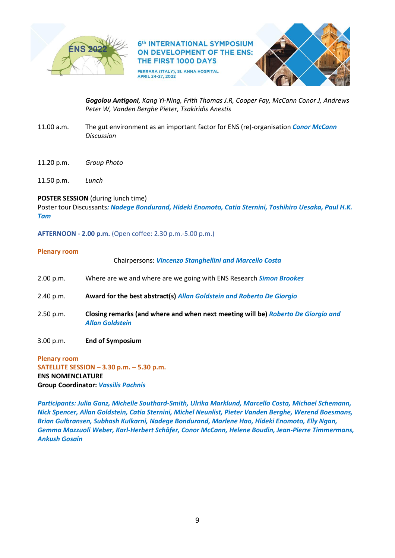

FERRARA (ITALY), St. ANNA HOSPITAL APRIL 24-27, 2022



*Gogolou Antigoni, Kang Yi-Ning, Frith Thomas J.R, Cooper Fay, McCann Conor J, Andrews Peter W, Vanden Berghe Pieter, Tsakiridis Anestis*

- 11.00 a.m. The gut environment as an important factor for ENS (re)-organisation *Conor McCann Discussion*
- 11.20 p.m. *Group Photo*
- 11.50 p.m. *Lunch*

# **POSTER SESSION** (during lunch time)

Poster tour Discussants*: Nadege Bondurand, Hideki Enomoto, Catia Sternini, Toshihiro Uesaka, Paul H.K. Tam*

**AFTERNOON - 2.00 p.m.** (Open coffee: 2.30 p.m.-5.00 p.m.)

### **Plenary room**

|           | <b>Chairpersons: Vincenzo Stanghellini and Marcello Costa</b>                                              |
|-----------|------------------------------------------------------------------------------------------------------------|
| 2.00 p.m. | Where are we and where are we going with ENS Research <b>Simon Brookes</b>                                 |
| 2.40 p.m. | Award for the best abstract(s) Allan Goldstein and Roberto De Giorgio                                      |
| 2.50 p.m. | Closing remarks (and where and when next meeting will be) Roberto De Giorgio and<br><b>Allan Goldstein</b> |
| 3.00 p.m. | <b>End of Symposium</b>                                                                                    |

**Plenary room SATELLITE SESSION – 3.30 p.m. – 5.30 p.m. ENS NOMENCLATURE Group Coordinator:** *Vassilis Pachnis*

*Participants: Julia Ganz, Michelle Southard-Smith, Ulrika Marklund, Marcello Costa, Michael Schemann, Nick Spencer, Allan Goldstein, Catia Sternini, Michel Neunlist, Pieter Vanden Berghe, Werend Boesmans, Brian Gulbransen, Subhash Kulkarni, Nadege Bondurand, Marlene Hao, Hideki Enomoto, Elly Ngan, Gemma Mazzuoli Weber, Karl-Herbert Schäfer, Conor McCann, Helene Boudin, Jean-Pierre Timmermans, Ankush Gosain*